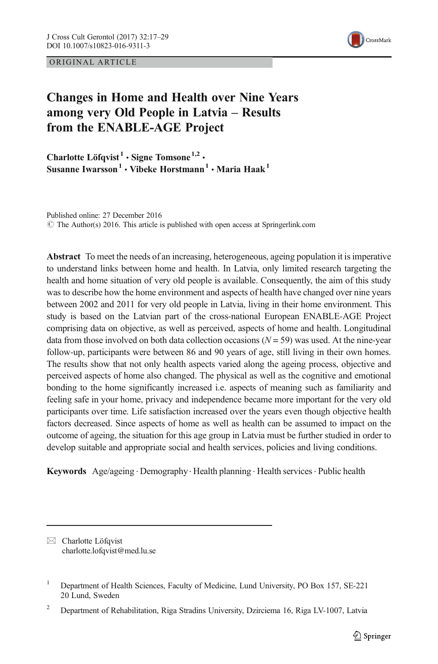ORIGINAL ARTICLE



# Changes in Home and Health over Nine Years among very Old People in Latvia – Results from the ENABLE-AGE Project

Charlotte Löfqvist<sup>1</sup>  $\cdot$  Signe Tomsone<sup>1,2</sup>  $\cdot$ Susanne Iwarsson<sup>1</sup> • Vibeke Horstmann<sup>1</sup> • Maria Haak<sup>1</sup>

Published online: 27 December 2016  $\degree$  The Author(s) 2016. This article is published with open access at Springerlink.com

Abstract To meet the needs of an increasing, heterogeneous, ageing population it is imperative to understand links between home and health. In Latvia, only limited research targeting the health and home situation of very old people is available. Consequently, the aim of this study was to describe how the home environment and aspects of health have changed over nine years between 2002 and 2011 for very old people in Latvia, living in their home environment. This study is based on the Latvian part of the cross-national European ENABLE-AGE Project comprising data on objective, as well as perceived, aspects of home and health. Longitudinal data from those involved on both data collection occasions  $(N = 59)$  was used. At the nine-year follow-up, participants were between 86 and 90 years of age, still living in their own homes. The results show that not only health aspects varied along the ageing process, objective and perceived aspects of home also changed. The physical as well as the cognitive and emotional bonding to the home significantly increased i.e. aspects of meaning such as familiarity and feeling safe in your home, privacy and independence became more important for the very old participants over time. Life satisfaction increased over the years even though objective health factors decreased. Since aspects of home as well as health can be assumed to impact on the outcome of ageing, the situation for this age group in Latvia must be further studied in order to develop suitable and appropriate social and health services, policies and living conditions.

Keywords Age/ageing . Demography. Health planning . Health services. Public health

 $\boxtimes$  Charlotte Löfqvist charlotte.lofqvist@med.lu.se

<sup>&</sup>lt;sup>1</sup> Department of Health Sciences, Faculty of Medicine, Lund University, PO Box 157, SE-221 20 Lund, Sweden

<sup>&</sup>lt;sup>2</sup> Department of Rehabilitation, Riga Stradins University, Dzirciema 16, Riga LV-1007, Latvia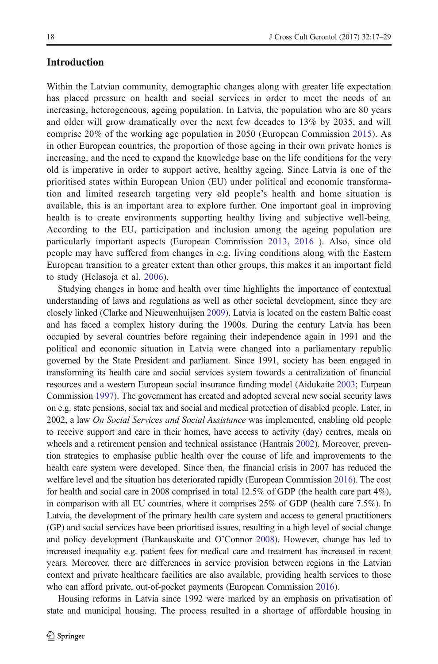## Introduction

Within the Latvian community, demographic changes along with greater life expectation has placed pressure on health and social services in order to meet the needs of an increasing, heterogeneous, ageing population. In Latvia, the population who are 80 years and older will grow dramatically over the next few decades to 13% by 2035, and will comprise 20% of the working age population in 2050 (European Commission [2015](#page-11-0)). As in other European countries, the proportion of those ageing in their own private homes is increasing, and the need to expand the knowledge base on the life conditions for the very old is imperative in order to support active, healthy ageing. Since Latvia is one of the prioritised states within European Union (EU) under political and economic transformation and limited research targeting very old people's health and home situation is available, this is an important area to explore further. One important goal in improving health is to create environments supporting healthy living and subjective well-being. According to the EU, participation and inclusion among the ageing population are particularly important aspects (European Commission [2013](#page-11-0), [2016](#page-11-0) ). Also, since old people may have suffered from changes in e.g. living conditions along with the Eastern European transition to a greater extent than other groups, this makes it an important field to study (Helasoja et al. [2006\)](#page-11-0).

Studying changes in home and health over time highlights the importance of contextual understanding of laws and regulations as well as other societal development, since they are closely linked (Clarke and Nieuwenhuijsen [2009](#page-11-0)). Latvia is located on the eastern Baltic coast and has faced a complex history during the 1900s. During the century Latvia has been occupied by several countries before regaining their independence again in 1991 and the political and economic situation in Latvia were changed into a parliamentary republic governed by the State President and parliament. Since 1991, society has been engaged in transforming its health care and social services system towards a centralization of financial resources and a western European social insurance funding model (Aidukaite [2003;](#page-11-0) Eurpean Commission [1997](#page-11-0)). The government has created and adopted several new social security laws on e.g. state pensions, social tax and social and medical protection of disabled people. Later, in 2002, a law *On Social Services and Social Assistance* was implemented, enabling old people to receive support and care in their homes, have access to activity (day) centres, meals on wheels and a retirement pension and technical assistance (Hantrais [2002\)](#page-11-0). Moreover, prevention strategies to emphasise public health over the course of life and improvements to the health care system were developed. Since then, the financial crisis in 2007 has reduced the welfare level and the situation has deteriorated rapidly (European Commission [2016\)](#page-11-0). The cost for health and social care in 2008 comprised in total 12.5% of GDP (the health care part 4%), in comparison with all EU countries, where it comprises 25% of GDP (health care 7.5%). In Latvia, the development of the primary health care system and access to general practitioners (GP) and social services have been prioritised issues, resulting in a high level of social change and policy development (Bankauskaite and O'Connor [2008](#page-11-0)). However, change has led to increased inequality e.g. patient fees for medical care and treatment has increased in recent years. Moreover, there are differences in service provision between regions in the Latvian context and private healthcare facilities are also available, providing health services to those who can afford private, out-of-pocket payments (European Commission [2016\)](#page-11-0).

Housing reforms in Latvia since 1992 were marked by an emphasis on privatisation of state and municipal housing. The process resulted in a shortage of affordable housing in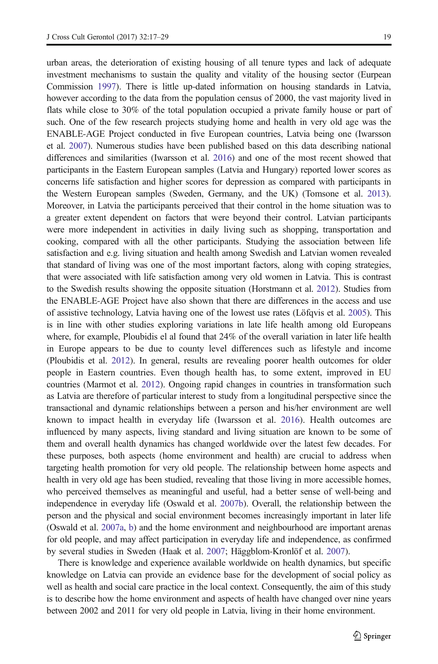urban areas, the deterioration of existing housing of all tenure types and lack of adequate investment mechanisms to sustain the quality and vitality of the housing sector (Eurpean Commission [1997](#page-11-0)). There is little up-dated information on housing standards in Latvia, however according to the data from the population census of 2000, the vast majority lived in flats while close to 30% of the total population occupied a private family house or part of such. One of the few research projects studying home and health in very old age was the ENABLE-AGE Project conducted in five European countries, Latvia being one (Iwarsson et al. [2007\)](#page-12-0). Numerous studies have been published based on this data describing national differences and similarities (Iwarsson et al. [2016\)](#page-12-0) and one of the most recent showed that participants in the Eastern European samples (Latvia and Hungary) reported lower scores as concerns life satisfaction and higher scores for depression as compared with participants in the Western European samples (Sweden, Germany, and the UK) (Tomsone et al. [2013](#page-12-0)). Moreover, in Latvia the participants perceived that their control in the home situation was to a greater extent dependent on factors that were beyond their control. Latvian participants were more independent in activities in daily living such as shopping, transportation and cooking, compared with all the other participants. Studying the association between life satisfaction and e.g. living situation and health among Swedish and Latvian women revealed that standard of living was one of the most important factors, along with coping strategies, that were associated with life satisfaction among very old women in Latvia. This is contrast to the Swedish results showing the opposite situation (Horstmann et al. [2012](#page-11-0)). Studies from the ENABLE-AGE Project have also shown that there are differences in the access and use of assistive technology, Latvia having one of the lowest use rates (Löfqvis et al. [2005](#page-12-0)). This is in line with other studies exploring variations in late life health among old Europeans where, for example, Ploubidis el al found that 24% of the overall variation in later life health in Europe appears to be due to county level differences such as lifestyle and income (Ploubidis et al. [2012](#page-12-0)). In general, results are revealing poorer health outcomes for older people in Eastern countries. Even though health has, to some extent, improved in EU countries (Marmot et al. [2012\)](#page-12-0). Ongoing rapid changes in countries in transformation such as Latvia are therefore of particular interest to study from a longitudinal perspective since the transactional and dynamic relationships between a person and his/her environment are well known to impact health in everyday life (Iwarsson et al. [2016\)](#page-12-0). Health outcomes are influenced by many aspects, living standard and living situation are known to be some of them and overall health dynamics has changed worldwide over the latest few decades. For these purposes, both aspects (home environment and health) are crucial to address when targeting health promotion for very old people. The relationship between home aspects and health in very old age has been studied, revealing that those living in more accessible homes, who perceived themselves as meaningful and useful, had a better sense of well-being and independence in everyday life (Oswald et al. [2007b](#page-12-0)). Overall, the relationship between the person and the physical and social environment becomes increasingly important in later life (Oswald et al. [2007a](#page-12-0), [b\)](#page-12-0) and the home environment and neighbourhood are important arenas for old people, and may affect participation in everyday life and independence, as confirmed by several studies in Sweden (Haak et al. [2007;](#page-11-0) Häggblom-Kronlöf et al. [2007](#page-11-0)).

There is knowledge and experience available worldwide on health dynamics, but specific knowledge on Latvia can provide an evidence base for the development of social policy as well as health and social care practice in the local context. Consequently, the aim of this study is to describe how the home environment and aspects of health have changed over nine years between 2002 and 2011 for very old people in Latvia, living in their home environment.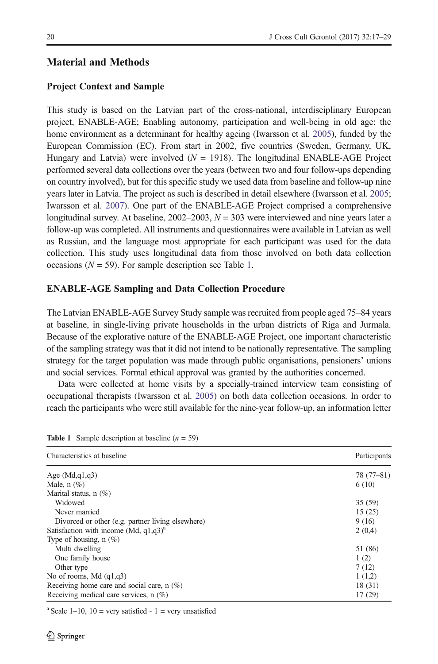# Material and Methods

## Project Context and Sample

This study is based on the Latvian part of the cross-national, interdisciplinary European project, ENABLE-AGE; Enabling autonomy, participation and well-being in old age: the home environment as a determinant for healthy ageing (Iwarsson et al. [2005\)](#page-11-0), funded by the European Commission (EC). From start in 2002, five countries (Sweden, Germany, UK, Hungary and Latvia) were involved ( $N = 1918$ ). The longitudinal ENABLE-AGE Project performed several data collections over the years (between two and four follow-ups depending on country involved), but for this specific study we used data from baseline and follow-up nine years later in Latvia. The project as such is described in detail elsewhere (Iwarsson et al. [2005](#page-11-0); Iwarsson et al. [2007](#page-12-0)). One part of the ENABLE-AGE Project comprised a comprehensive longitudinal survey. At baseline,  $2002-2003$ ,  $N = 303$  were interviewed and nine years later a follow-up was completed. All instruments and questionnaires were available in Latvian as well as Russian, and the language most appropriate for each participant was used for the data collection. This study uses longitudinal data from those involved on both data collection occasions ( $N = 59$ ). For sample description see Table 1.

### ENABLE-AGE Sampling and Data Collection Procedure

The Latvian ENABLE-AGE Survey Study sample was recruited from people aged 75–84 years at baseline, in single-living private households in the urban districts of Riga and Jurmala. Because of the explorative nature of the ENABLE-AGE Project, one important characteristic of the sampling strategy was that it did not intend to be nationally representative. The sampling strategy for the target population was made through public organisations, pensioners' unions and social services. Formal ethical approval was granted by the authorities concerned.

Data were collected at home visits by a specially-trained interview team consisting of occupational therapists (Iwarsson et al. [2005\)](#page-11-0) on both data collection occasions. In order to reach the participants who were still available for the nine-year follow-up, an information letter

| Characteristics at baseline                          | Participants |
|------------------------------------------------------|--------------|
| Age $(Md,q1,q3)$                                     | $78(77-81)$  |
| Male, $n$ $(\%)$                                     | 6(10)        |
| Marital status, $n$ (%)                              |              |
| Widowed                                              | 35 (59)      |
| Never married                                        | 15(25)       |
| Divorced or other (e.g. partner living elsewhere)    | 9(16)        |
| Satisfaction with income (Md, $q1,q3$ ) <sup>a</sup> | 2(0,4)       |
| Type of housing, $n(\%)$                             |              |
| Multi dwelling                                       | 51 (86)      |
| One family house                                     | 1(2)         |
| Other type                                           | 7(12)        |
| No of rooms, Md $(q1,q3)$                            | 1(1,2)       |
| Receiving home care and social care, $n$ (%)         | 18(31)       |
| Receiving medical care services, $n$ (%)             | 17(29)       |

**Table 1** Sample description at baseline  $(n = 59)$ 

<sup>a</sup> Scale 1–10, 10 = very satisfied - 1 = very unsatisfied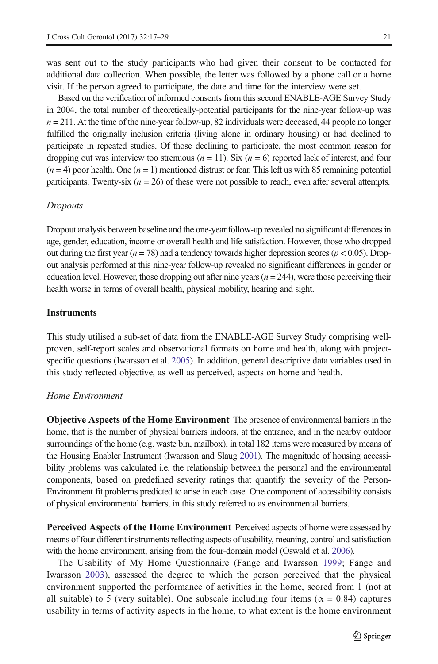was sent out to the study participants who had given their consent to be contacted for additional data collection. When possible, the letter was followed by a phone call or a home visit. If the person agreed to participate, the date and time for the interview were set.

Based on the verification of informed consents from this second ENABLE-AGE Survey Study in 2004, the total number of theoretically-potential participants for the nine-year follow-up was  $n = 211$ . At the time of the nine-year follow-up, 82 individuals were deceased, 44 people no longer fulfilled the originally inclusion criteria (living alone in ordinary housing) or had declined to participate in repeated studies. Of those declining to participate, the most common reason for dropping out was interview too strenuous ( $n = 11$ ). Six ( $n = 6$ ) reported lack of interest, and four  $(n = 4)$  poor health. One  $(n = 1)$  mentioned distrust or fear. This left us with 85 remaining potential participants. Twenty-six ( $n = 26$ ) of these were not possible to reach, even after several attempts.

#### Dropouts

Dropout analysis between baseline and the one-year follow-up revealed no significant differences in age, gender, education, income or overall health and life satisfaction. However, those who dropped out during the first year ( $n = 78$ ) had a tendency towards higher depression scores ( $p < 0.05$ ). Dropout analysis performed at this nine-year follow-up revealed no significant differences in gender or education level. However, those dropping out after nine years  $(n = 244)$ , were those perceiving their health worse in terms of overall health, physical mobility, hearing and sight.

#### **Instruments**

This study utilised a sub-set of data from the ENABLE-AGE Survey Study comprising wellproven, self-report scales and observational formats on home and health, along with projectspecific questions (Iwarsson et al. [2005\)](#page-11-0). In addition, general descriptive data variables used in this study reflected objective, as well as perceived, aspects on home and health.

## Home Environment

Objective Aspects of the Home Environment The presence of environmental barriers in the home, that is the number of physical barriers indoors, at the entrance, and in the nearby outdoor surroundings of the home (e.g. waste bin, mailbox), in total 182 items were measured by means of the Housing Enabler Instrument (Iwarsson and Slaug [2001\)](#page-11-0). The magnitude of housing accessibility problems was calculated i.e. the relationship between the personal and the environmental components, based on predefined severity ratings that quantify the severity of the Person-Environment fit problems predicted to arise in each case. One component of accessibility consists of physical environmental barriers, in this study referred to as environmental barriers.

Perceived Aspects of the Home Environment Perceived aspects of home were assessed by means of four different instruments reflecting aspects of usability, meaning, control and satisfaction with the home environment, arising from the four-domain model (Oswald et al. [2006](#page-12-0)).

The Usability of My Home Questionnaire (Fange and Iwarsson [1999](#page-11-0); Fänge and Iwarsson [2003](#page-11-0)), assessed the degree to which the person perceived that the physical environment supported the performance of activities in the home, scored from 1 (not at all suitable) to 5 (very suitable). One subscale including four items ( $\alpha = 0.84$ ) captures usability in terms of activity aspects in the home, to what extent is the home environment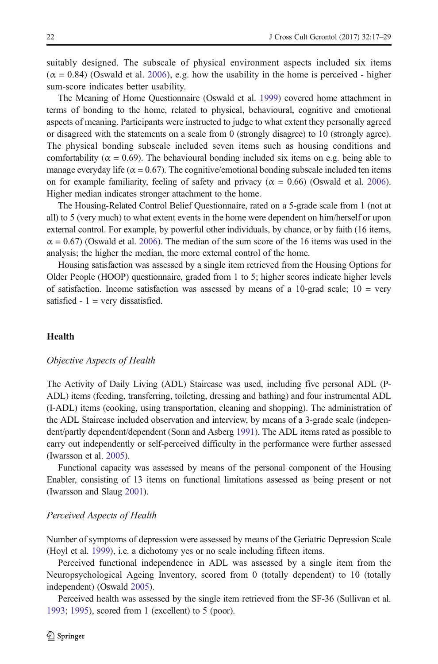suitably designed. The subscale of physical environment aspects included six items  $(\alpha = 0.84)$  (Oswald et al. [2006](#page-12-0)), e.g. how the usability in the home is perceived - higher sum-score indicates better usability.

The Meaning of Home Questionnaire (Oswald et al. [1999](#page-12-0)) covered home attachment in terms of bonding to the home, related to physical, behavioural, cognitive and emotional aspects of meaning. Participants were instructed to judge to what extent they personally agreed or disagreed with the statements on a scale from 0 (strongly disagree) to 10 (strongly agree). The physical bonding subscale included seven items such as housing conditions and comfortability ( $\alpha = 0.69$ ). The behavioural bonding included six items on e.g. being able to manage everyday life ( $\alpha$  = 0.67). The cognitive/emotional bonding subscale included ten items on for example familiarity, feeling of safety and privacy ( $\alpha = 0.66$ ) (Oswald et al. [2006](#page-12-0)). Higher median indicates stronger attachment to the home.

The Housing-Related Control Belief Questionnaire, rated on a 5-grade scale from 1 (not at all) to 5 (very much) to what extent events in the home were dependent on him/herself or upon external control. For example, by powerful other individuals, by chance, or by faith (16 items,  $\alpha$  = 0.67) (Oswald et al. [2006](#page-12-0)). The median of the sum score of the 16 items was used in the analysis; the higher the median, the more external control of the home.

Housing satisfaction was assessed by a single item retrieved from the Housing Options for Older People (HOOP) questionnaire, graded from 1 to 5; higher scores indicate higher levels of satisfaction. Income satisfaction was assessed by means of a  $10$ -grad scale;  $10 = \text{very}$ satisfied  $-1$  = very dissatisfied.

## **Health**

#### Objective Aspects of Health

The Activity of Daily Living (ADL) Staircase was used, including five personal ADL (P-ADL) items (feeding, transferring, toileting, dressing and bathing) and four instrumental ADL (I-ADL) items (cooking, using transportation, cleaning and shopping). The administration of the ADL Staircase included observation and interview, by means of a 3-grade scale (independent/partly dependent/dependent (Sonn and Asberg [1991\)](#page-12-0). The ADL items rated as possible to carry out independently or self-perceived difficulty in the performance were further assessed (Iwarsson et al. [2005](#page-11-0)).

Functional capacity was assessed by means of the personal component of the Housing Enabler, consisting of 13 items on functional limitations assessed as being present or not (Iwarsson and Slaug [2001\)](#page-11-0).

#### Perceived Aspects of Health

Number of symptoms of depression were assessed by means of the Geriatric Depression Scale (Hoyl et al. [1999](#page-11-0)), i.e. a dichotomy yes or no scale including fifteen items.

Perceived functional independence in ADL was assessed by a single item from the Neuropsychological Ageing Inventory, scored from 0 (totally dependent) to 10 (totally independent) (Oswald [2005\)](#page-12-0).

Perceived health was assessed by the single item retrieved from the SF-36 (Sullivan et al. [1993](#page-12-0); [1995](#page-12-0)), scored from 1 (excellent) to 5 (poor).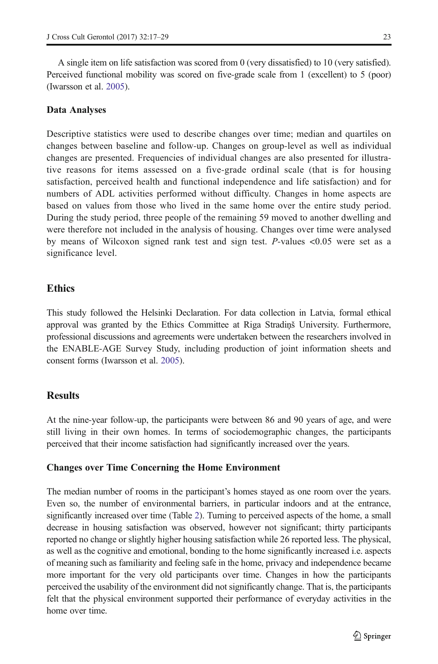A single item on life satisfaction was scored from 0 (very dissatisfied) to 10 (very satisfied). Perceived functional mobility was scored on five-grade scale from 1 (excellent) to 5 (poor) (Iwarsson et al. [2005](#page-11-0)).

#### Data Analyses

Descriptive statistics were used to describe changes over time; median and quartiles on changes between baseline and follow-up. Changes on group-level as well as individual changes are presented. Frequencies of individual changes are also presented for illustrative reasons for items assessed on a five-grade ordinal scale (that is for housing satisfaction, perceived health and functional independence and life satisfaction) and for numbers of ADL activities performed without difficulty. Changes in home aspects are based on values from those who lived in the same home over the entire study period. During the study period, three people of the remaining 59 moved to another dwelling and were therefore not included in the analysis of housing. Changes over time were analysed by means of Wilcoxon signed rank test and sign test. P-values <0.05 were set as a significance level.

# **Ethics**

This study followed the Helsinki Declaration. For data collection in Latvia, formal ethical approval was granted by the Ethics Committee at Riga Stradiņš University. Furthermore, professional discussions and agreements were undertaken between the researchers involved in the ENABLE-AGE Survey Study, including production of joint information sheets and consent forms (Iwarsson et al. [2005](#page-11-0)).

## **Results**

At the nine-year follow-up, the participants were between 86 and 90 years of age, and were still living in their own homes. In terms of sociodemographic changes, the participants perceived that their income satisfaction had significantly increased over the years.

## Changes over Time Concerning the Home Environment

The median number of rooms in the participant's homes stayed as one room over the years. Even so, the number of environmental barriers, in particular indoors and at the entrance, significantly increased over time (Table [2](#page-7-0)). Turning to perceived aspects of the home, a small decrease in housing satisfaction was observed, however not significant; thirty participants reported no change or slightly higher housing satisfaction while 26 reported less. The physical, as well as the cognitive and emotional, bonding to the home significantly increased i.e. aspects of meaning such as familiarity and feeling safe in the home, privacy and independence became more important for the very old participants over time. Changes in how the participants perceived the usability of the environment did not significantly change. That is, the participants felt that the physical environment supported their performance of everyday activities in the home over time.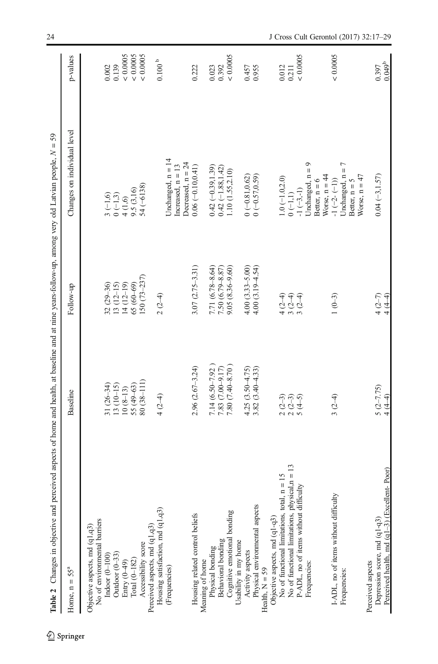<span id="page-7-0"></span>

| Table 2 Changes in objective and perceived aspects of home and health, at baseline and at nine years-follow-up, among very old Latvian people, $N = 59$ |                                                                    |                                              |                                                                            |                        |
|---------------------------------------------------------------------------------------------------------------------------------------------------------|--------------------------------------------------------------------|----------------------------------------------|----------------------------------------------------------------------------|------------------------|
| Home, $n = 55a$                                                                                                                                         | Baseline                                                           | Follow-up                                    | Changes on individual level                                                | p-values               |
| No of environmental barriers<br>Objective aspects, md (q1,q3)                                                                                           |                                                                    |                                              |                                                                            |                        |
| Indoor $(0-100)$                                                                                                                                        | $31(26-34)$                                                        | $32(29-36)$                                  | $3(-1,6)$                                                                  | 0.002                  |
| Outdoor $(0-33)$                                                                                                                                        | $13(10-15)$                                                        |                                              |                                                                            | 0.139                  |
| Entry (0-49)                                                                                                                                            | $10(8-13)$                                                         | $13(12-15)$<br>$14(12-19)$                   | $0 (-1,3)$<br>$4 (1,6)$<br>$9.5 (3,16)$                                    | & 0.0005               |
| Total $(0-182)$                                                                                                                                         | 55 (49-63)                                                         | $65(60-69)$                                  |                                                                            | < 0.0005               |
| Accessibility score                                                                                                                                     | 80 (38-111)                                                        | $150(73 - 237)$                              | $54 (-6138)$                                                               | < 0.0005               |
| Perceived aspects, md (q1,q3)                                                                                                                           |                                                                    |                                              |                                                                            |                        |
| Housing satisfaction, md (q1,q3)                                                                                                                        | $4(2-4)$                                                           | $2(2-4)$                                     |                                                                            | $0.100\ ^{\mathrm{b}}$ |
| (Frequencies)                                                                                                                                           |                                                                    |                                              | Unchanged, n = 14<br>Decreased, $n = 24$<br>Increased, $n = 13$            |                        |
| Housing related control beliefs                                                                                                                         | $2.96(2.67 - 3.24)$                                                | $3.07(2.75 - 3.31)$                          | $0.06(-0.10, 0.41)$                                                        | 0.222                  |
| Physical bonding<br>Meaning of home                                                                                                                     | $7.14(6.50 - 7.92)$                                                | 7.71 (6.78-8.64)                             | $0.42 (-0.39, 1.39)$                                                       | 0.023                  |
| <b>Behavioral</b> bonding                                                                                                                               | 7.83 (7.00-9.17)                                                   |                                              |                                                                            | 0.392                  |
| Cognitive emotional bonding                                                                                                                             | 7.80 (7.40-8.70)                                                   | 7.50 $(6.79 - 8.87)$<br>9.05 $(8.36 - 9.60)$ | $\begin{array}{c} 0.42 ~ (-1.88, 1.42) \\ 1.10 ~ (1.55, 2.10) \end{array}$ | < 0.0005               |
| Usability in my home                                                                                                                                    |                                                                    |                                              |                                                                            |                        |
| Activity aspects                                                                                                                                        | $4.25(3.50 - 4.75)$                                                | $4.00(3.33 - 5.00)$                          | $0(-0.81, 0.62)$                                                           | 0.457                  |
| Physical environmental aspects                                                                                                                          | $3.82(3.40 - 4.33)$                                                | $4.00(3.19 - 4.54)$                          | $0 (-0.57, 0.59)$                                                          | 0.955                  |
| Health, $N = 59$                                                                                                                                        |                                                                    |                                              |                                                                            |                        |
| Objective aspects, md (q1-q3)                                                                                                                           |                                                                    |                                              |                                                                            |                        |
| $n = 15$<br>No of functional limitations, total,                                                                                                        | $\begin{array}{c} 2 & 2 & 3 \\ 2 & 2 & 4 \\ 5 & 6 & 1 \end{array}$ | $4(2-4)$<br>3(2-4)                           | $1.0 (-1.0, 2.0)$                                                          | 0.012                  |
| No of functional limitations, physical,n = 13                                                                                                           |                                                                    |                                              | $0(-1,1)$                                                                  | 0.211                  |
| P-ADL, no of items without difficulty<br>Frequencies:                                                                                                   |                                                                    | $3(2-4)$                                     | Unchanged, $n = 9$<br>$-1(-3,-1)$                                          | < 0.0005               |
|                                                                                                                                                         |                                                                    |                                              | Better, $n = 6$                                                            |                        |
|                                                                                                                                                         |                                                                    |                                              | Worse, $n = 44$                                                            |                        |
| I-ADL, no of items without difficulty                                                                                                                   | $3(2-4)$                                                           | $1(0-3)$                                     | $-1$ $(-2 - (-1))$                                                         | ${}< 0.0005$           |
| Frequencies:                                                                                                                                            |                                                                    |                                              | Unchanged, n = 7                                                           |                        |
|                                                                                                                                                         |                                                                    |                                              | Worse, $n = 47$<br>Better, $n = 5$                                         |                        |
| Perceived aspects                                                                                                                                       |                                                                    |                                              |                                                                            |                        |
| Depression score, md (q1-q3)                                                                                                                            | $\frac{5(2-7.75)}{4(4-4)}$                                         | $4(2-7)$<br>$4(4-4)$                         | $0.04 (-3, 1.57)$                                                          | 0.397                  |
| Perceived health, md (q1-3) (Excellent-Poor)                                                                                                            |                                                                    |                                              |                                                                            | $0.049^{b}$            |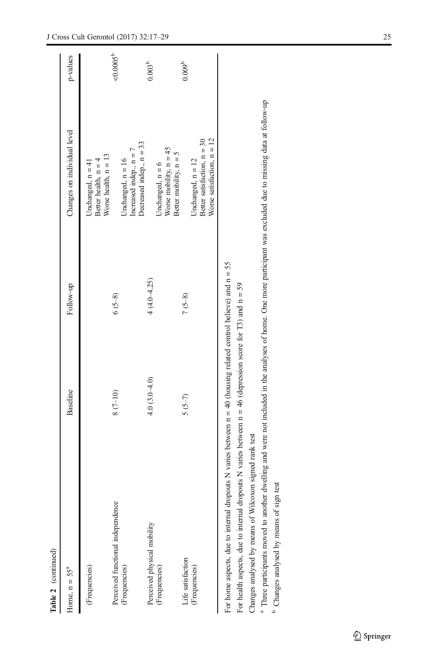| Table 2 (continued)                                                                                                                                                                                                                  |                |                 |                                                                            |                 |
|--------------------------------------------------------------------------------------------------------------------------------------------------------------------------------------------------------------------------------------|----------------|-----------------|----------------------------------------------------------------------------|-----------------|
| Home, $n = 55a$                                                                                                                                                                                                                      | Baseline       | Follow-up       | Changes on individual level                                                | p-values        |
| (Frequencies)                                                                                                                                                                                                                        |                |                 | Worse health, $n = 13$<br>Unchanged, $n = 41$<br>Better health, $n =$      |                 |
| Perceived functional independence<br>(Frequencies)                                                                                                                                                                                   | $8(7-10)$      | $6(5-8)$        | Increased indep., $n =$<br>Unchanged, $n = 16$                             | $< 0.0005^b$    |
| Perceived physical mobility                                                                                                                                                                                                          | $4.0(3.0-4.0)$ | $4(4.0 - 4.25)$ | Decreased indep., $n = 33$                                                 | $0.003^{b}$     |
| (Frequencies)                                                                                                                                                                                                                        |                |                 | Worse mobility, $n = 45$<br>Better mobility, $n = 5$<br>Unchanged, $n = 6$ |                 |
| Life satisfaction<br>(Frequencies)                                                                                                                                                                                                   | $5(5-7)$       | $7(5-8)$        | Unchanged, $n = 12$                                                        | $0.009^{\circ}$ |
|                                                                                                                                                                                                                                      |                |                 | Worse satisfaction, $n = 12$<br>Better satisfaction, $n = 30$              |                 |
| For home aspects, due to internal dropouts N varies between $n = 40$ (housing related control believe) and $n = 55$<br>For health aspects, due to internal dropouts N varies between $n = 46$ (depression score for T3) and $n = 59$ |                |                 |                                                                            |                 |
| Changes analysed by means of Wilcoxon signed rank test                                                                                                                                                                               |                |                 |                                                                            |                 |
| <sup>a</sup> Three participants moved to another dwelling and were not included in the analyses of home. One more participant was excluded due to missing data at follow-up                                                          |                |                 |                                                                            |                 |
| <sup>b</sup> Changes analysed by means of sign test                                                                                                                                                                                  |                |                 |                                                                            |                 |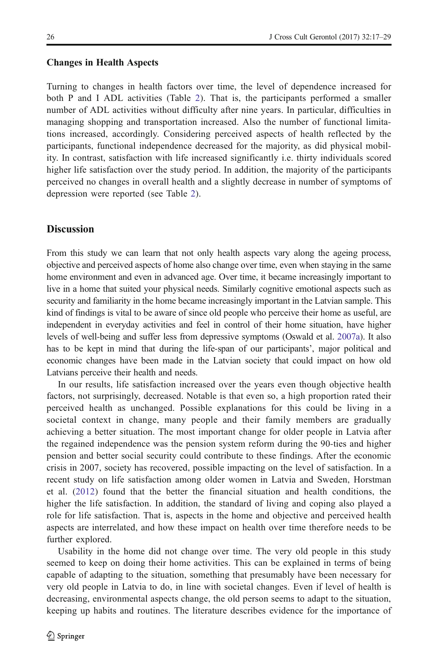#### Changes in Health Aspects

Turning to changes in health factors over time, the level of dependence increased for both P and I ADL activities (Table [2\)](#page-7-0). That is, the participants performed a smaller number of ADL activities without difficulty after nine years. In particular, difficulties in managing shopping and transportation increased. Also the number of functional limitations increased, accordingly. Considering perceived aspects of health reflected by the participants, functional independence decreased for the majority, as did physical mobility. In contrast, satisfaction with life increased significantly i.e. thirty individuals scored higher life satisfaction over the study period. In addition, the majority of the participants perceived no changes in overall health and a slightly decrease in number of symptoms of depression were reported (see Table [2](#page-7-0)).

# **Discussion**

From this study we can learn that not only health aspects vary along the ageing process, objective and perceived aspects of home also change over time, even when staying in the same home environment and even in advanced age. Over time, it became increasingly important to live in a home that suited your physical needs. Similarly cognitive emotional aspects such as security and familiarity in the home became increasingly important in the Latvian sample. This kind of findings is vital to be aware of since old people who perceive their home as useful, are independent in everyday activities and feel in control of their home situation, have higher levels of well-being and suffer less from depressive symptoms (Oswald et al. [2007a](#page-12-0)). It also has to be kept in mind that during the life-span of our participants', major political and economic changes have been made in the Latvian society that could impact on how old Latvians perceive their health and needs.

In our results, life satisfaction increased over the years even though objective health factors, not surprisingly, decreased. Notable is that even so, a high proportion rated their perceived health as unchanged. Possible explanations for this could be living in a societal context in change, many people and their family members are gradually achieving a better situation. The most important change for older people in Latvia after the regained independence was the pension system reform during the 90-ties and higher pension and better social security could contribute to these findings. After the economic crisis in 2007, society has recovered, possible impacting on the level of satisfaction. In a recent study on life satisfaction among older women in Latvia and Sweden, Horstman et al. ([2012](#page-11-0)) found that the better the financial situation and health conditions, the higher the life satisfaction. In addition, the standard of living and coping also played a role for life satisfaction. That is, aspects in the home and objective and perceived health aspects are interrelated, and how these impact on health over time therefore needs to be further explored.

Usability in the home did not change over time. The very old people in this study seemed to keep on doing their home activities. This can be explained in terms of being capable of adapting to the situation, something that presumably have been necessary for very old people in Latvia to do, in line with societal changes. Even if level of health is decreasing, environmental aspects change, the old person seems to adapt to the situation, keeping up habits and routines. The literature describes evidence for the importance of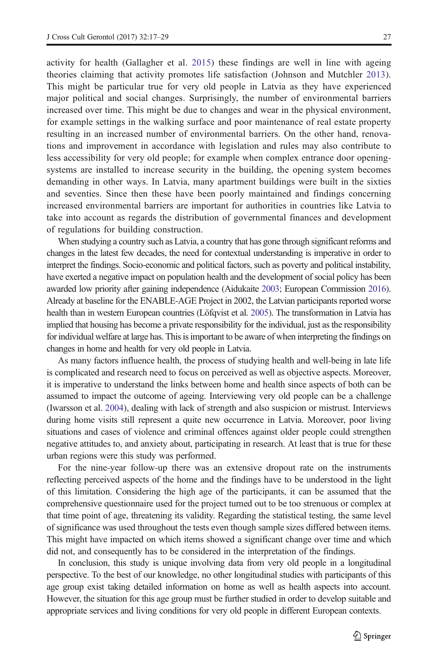activity for health (Gallagher et al. [2015\)](#page-11-0) these findings are well in line with ageing theories claiming that activity promotes life satisfaction (Johnson and Mutchler [2013](#page-12-0)). This might be particular true for very old people in Latvia as they have experienced major political and social changes. Surprisingly, the number of environmental barriers increased over time. This might be due to changes and wear in the physical environment, for example settings in the walking surface and poor maintenance of real estate property resulting in an increased number of environmental barriers. On the other hand, renovations and improvement in accordance with legislation and rules may also contribute to less accessibility for very old people; for example when complex entrance door openingsystems are installed to increase security in the building, the opening system becomes demanding in other ways. In Latvia, many apartment buildings were built in the sixties and seventies. Since then these have been poorly maintained and findings concerning increased environmental barriers are important for authorities in countries like Latvia to take into account as regards the distribution of governmental finances and development of regulations for building construction.

When studying a country such as Latvia, a country that has gone through significant reforms and changes in the latest few decades, the need for contextual understanding is imperative in order to interpret the findings. Socio-economic and political factors, such as poverty and political instability, have exerted a negative impact on population health and the development of social policy has been awarded low priority after gaining independence (Aidukaite [2003](#page-11-0); European Commission [2016](#page-11-0)). Already at baseline for the ENABLE-AGE Project in 2002, the Latvian participants reported worse health than in western European countries (Löfqvist et al. [2005](#page-12-0)). The transformation in Latvia has implied that housing has become a private responsibility for the individual, just as the responsibility for individual welfare at large has. This is important to be aware of when interpreting the findings on changes in home and health for very old people in Latvia.

As many factors influence health, the process of studying health and well-being in late life is complicated and research need to focus on perceived as well as objective aspects. Moreover, it is imperative to understand the links between home and health since aspects of both can be assumed to impact the outcome of ageing. Interviewing very old people can be a challenge (Iwarsson et al. [2004](#page-11-0)), dealing with lack of strength and also suspicion or mistrust. Interviews during home visits still represent a quite new occurrence in Latvia. Moreover, poor living situations and cases of violence and criminal offences against older people could strengthen negative attitudes to, and anxiety about, participating in research. At least that is true for these urban regions were this study was performed.

For the nine-year follow-up there was an extensive dropout rate on the instruments reflecting perceived aspects of the home and the findings have to be understood in the light of this limitation. Considering the high age of the participants, it can be assumed that the comprehensive questionnaire used for the project turned out to be too strenuous or complex at that time point of age, threatening its validity. Regarding the statistical testing, the same level of significance was used throughout the tests even though sample sizes differed between items. This might have impacted on which items showed a significant change over time and which did not, and consequently has to be considered in the interpretation of the findings.

In conclusion, this study is unique involving data from very old people in a longitudinal perspective. To the best of our knowledge, no other longitudinal studies with participants of this age group exist taking detailed information on home as well as health aspects into account. However, the situation for this age group must be further studied in order to develop suitable and appropriate services and living conditions for very old people in different European contexts.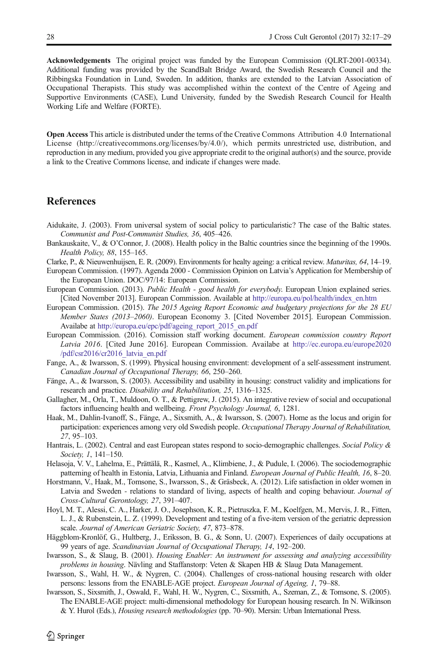<span id="page-11-0"></span>Acknowledgements The original project was funded by the European Commission (QLRT-2001-00334). Additional funding was provided by the ScandBalt Bridge Award, the Swedish Research Council and the Ribbingska Foundation in Lund, Sweden. In addition, thanks are extended to the Latvian Association of Occupational Therapists. This study was accomplished within the context of the Centre of Ageing and Supportive Environments (CASE), Lund University, funded by the Swedish Research Council for Health Working Life and Welfare (FORTE).

Open Access This article is distributed under the terms of the Creative Commons Attribution 4.0 International License (http://creativecommons.org/licenses/by/4.0/), which permits unrestricted use, distribution, and reproduction in any medium, provided you give appropriate credit to the original author(s) and the source, provide a link to the Creative Commons license, and indicate if changes were made.

#### References

- Aidukaite, J. (2003). From universal system of social policy to particularistic? The case of the Baltic states. Communist and Post-Communist Studies, 36, 405–426.
- Bankauskaite, V., & O'Connor, J. (2008). Health policy in the Baltic countries since the beginning of the 1990s. Health Policy, 88, 155–165.
- Clarke, P., & Nieuwenhuijsen, E. R. (2009). Environments for healty ageing: a critical review. Maturitas, 64, 14–19.
- European Commission. (1997). Agenda 2000 Commission Opinion on Latvia's Application for Membership of the European Union. DOC/97/14: European Commission.
- European Commission. (2013). Public Health good health for everybody. European Union explained series. [Cited November 2013]. European Commission. Available at [http://europa.eu/pol/health/index\\_en.htm](http://europa.eu/pol/health/index_en.htm)
- European Commission. (2015). The 2015 Ageing Report Economic and budgetary projections for the 28 EU Member States (2013–2060). European Economy 3. [Cited November 2015]. European Commission. Availabe at [http://europa.eu/epc/pdf/ageing\\_report\\_2015\\_en.pdf](http://europa.eu/epc/pdf/ageing_report_2015_en.pdf)
- European Commission. (2016). Comission staff working document. European commission country Report Latvia 2016. [Cited June 2016]. European Commission. Availabe at [http://ec.europa.eu/europe2020](http://ec.europa.eu/europe2020/pdf/csr2016/cr2016_latvia_en.pdf) [/pdf/csr2016/cr2016\\_latvia\\_en.pdf](http://ec.europa.eu/europe2020/pdf/csr2016/cr2016_latvia_en.pdf)
- Fange, A., & Iwarsson, S. (1999). Physical housing environment: development of a self-assessment instrument. Canadian Journal of Occupational Therapy, 66, 250–260.
- Fänge, A., & Iwarsson, S. (2003). Accessibility and usability in housing: construct validity and implications for research and practice. Disability and Rehabilitation, 25, 1316–1325.
- Gallagher, M., Orla, T., Muldoon, O. T., & Pettigrew, J. (2015). An integrative review of social and occupational factors influencing health and wellbeing. Front Psychology Journal, 6, 1281.
- Haak, M., Dahlin-Ivanoff, S., Fänge, A., Sixsmith, A., & Iwarsson, S. (2007). Home as the locus and origin for participation: experiences among very old Swedish people. Occupational Therapy Journal of Rehabilitation, 27, 95–103.
- Hantrais, L. (2002). Central and east European states respond to socio-demographic challenges. Social Policy & Society, 1, 141–150.
- Helasoja, V. V., Lahelma, E., Prättälä, R., Kasmel, A., Klimbiene, J., & Pudule, I. (2006). The sociodemographic patterning of health in Estonia, Latvia, Lithuania and Finland. European Journal of Public Health, 16, 8–20.
- Horstmann, V., Haak, M., Tomsone, S., Iwarsson, S., & Gräsbeck, A. (2012). Life satisfaction in older women in Latvia and Sweden - relations to standard of living, aspects of health and coping behaviour. Journal of Cross-Cultural Gerontology, 27, 391–407.
- Hoyl, M. T., Alessi, C. A., Harker, J. O., Josephson, K. R., Pietruszka, F. M., Koelfgen, M., Mervis, J. R., Fitten, L. J., & Rubenstein, L. Z. (1999). Development and testing of a five-item version of the geriatric depression scale. Journal of American Geriatric Society, 47, 873–878.
- Häggblom-Kronlöf, G., Hultberg, J., Eriksson, B. G., & Sonn, U. (2007). Experiences of daily occupations at 99 years of age. Scandinavian Journal of Occupational Therapy, 14, 192–200.
- Iwarsson, S., & Slaug, B. (2001). Housing Enabler: An instrument for assessing and analyzing accessibility problems in housing. Nävling and Staffanstorp: Veten & Skapen HB & Slaug Data Management.
- Iwarsson, S., Wahl, H. W., & Nygren, C. (2004). Challenges of cross-national housing research with older persons: lessons from the ENABLE-AGE project. European Journal of Ageing, 1, 79–88.
- Iwarsson, S., Sixsmith, J., Oswald, F., Wahl, H. W., Nygren, C., Sixsmith, A., Szeman, Z., & Tomsone, S. (2005). The ENABLE-AGE project: multi-dimensional methodology for European housing research. In N. Wilkinson & Y. Hurol (Eds.), Housing research methodologies (pp. 70–90). Mersin: Urban International Press.